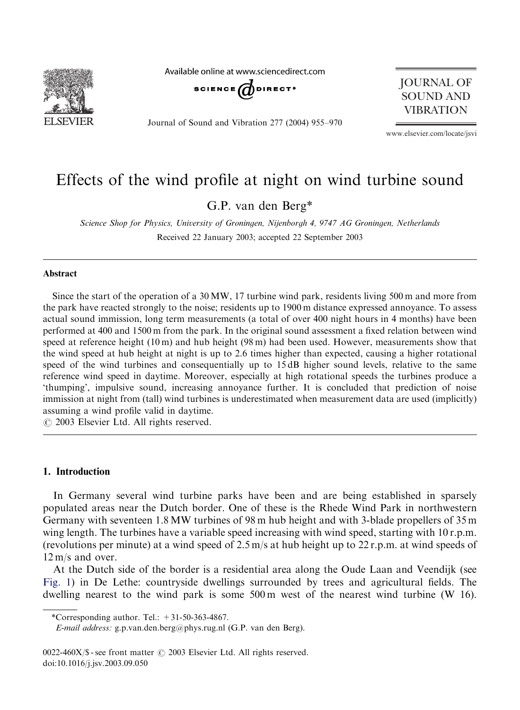

Available online at www.sciencedirect.com SCIENCE  $d$  DIRECT<sup>+</sup>

JOURNAL OF SOUND AND **VIBRATION** 

Journal of Sound and Vibration 277 (2004) 955–970

www.elsevier.com/locate/jsvi

# Effects of the wind profile at night on wind turbine sound

G.P. van den Berg\*

Science Shop for Physics, University of Groningen, Nijenborgh 4, 9747 AG Groningen, Netherlands Received 22 January 2003; accepted 22 September 2003

## Abstract

Since the start of the operation of a  $30 \text{ MW}$ , 17 turbine wind park, residents living  $500 \text{ m}$  and more from the park have reacted strongly to the noise; residents up to 1900 m distance expressed annoyance. To assess actual sound immission, long term measurements (a total of over 400 night hours in 4 months) have been performed at 400 and 1500 m from the park. In the original sound assessment a fixed relation between wind speed at reference height (10 m) and hub height (98 m) had been used. However, measurements show that the wind speed at hub height at night is up to 2.6 times higher than expected, causing a higher rotational speed of the wind turbines and consequentially up to 15 dB higher sound levels, relative to the same reference wind speed in daytime. Moreover, especially at high rotational speeds the turbines produce a 'thumping', impulsive sound, increasing annoyance further. It is concluded that prediction of noise immission at night from (tall) wind turbines is underestimated when measurement data are used (implicitly) assuming a wind profile valid in daytime.

 $\odot$  2003 Elsevier Ltd. All rights reserved.

# 1. Introduction

In Germany several wind turbine parks have been and are being established in sparsely populated areas near the Dutch border. One of these is the Rhede Wind Park in northwestern Germany with seventeen 1.8 MW turbines of 98 m hub height and with 3-blade propellers of 35 m wing length. The turbines have a variable speed increasing with wind speed, starting with  $10$  r.p.m. (revolutions per minute) at a wind speed of 2.5 m/s at hub height up to 22 r.p.m. at wind speeds of 12 m/s and over.

At the Dutch side of the border is a residential area along the Oude Laan and Veendijk (see Fig. 1) in De Lethe: countryside dwellings surrounded by trees and agricultural fields. The dwelling nearest to the wind park is some  $500 \text{ m}$  west of the nearest wind turbine (W 16).

\*Corresponding author. Tel.:  $+31-50-363-4867$ .

E-mail address: g.p.van.den.berg@phys.rug.nl (G.P. van den Berg).

 $0022-460X/S$  - see front matter  $\odot$  2003 Elsevier Ltd. All rights reserved. doi:10.1016/j.jsv.2003.09.050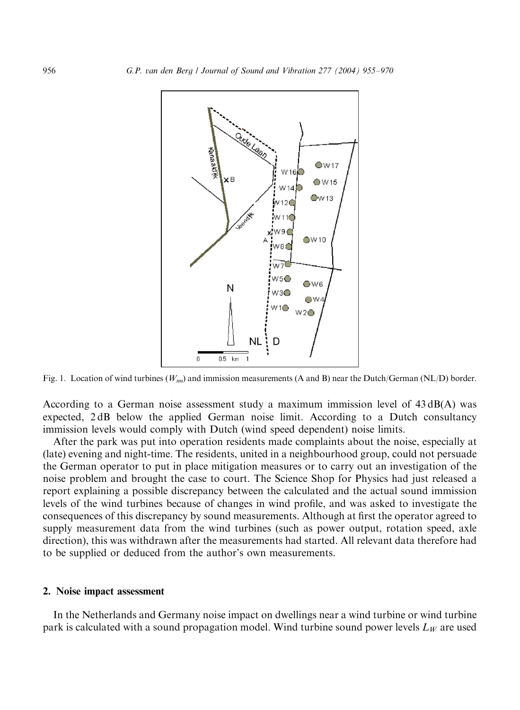<span id="page-1-0"></span>

Fig. 1. Location of wind turbines ( $W_{nn}$ ) and immission measurements (A and B) near the Dutch/German (NL/D) border.

According to a German noise assessment study a maximum immission level of  $43 \text{ dB}(A)$  was expected, 2 dB below the applied German noise limit. According to a Dutch consultancy immission levels would comply with Dutch (wind speed dependent) noise limits.

After the park was put into operation residents made complaints about the noise, especially at (late) evening and night-time. The residents, united in a neighbourhood group, could not persuade the German operator to put in place mitigation measures or to carry out an investigation of the noise problem and brought the case to court. The Science Shop for Physics had just released a report explaining a possible discrepancy between the calculated and the actual sound immission levels of the wind turbines because of changes in wind profile, and was asked to investigate the consequences of this discrepancy by sound measurements. Although at first the operator agreed to supply measurement data from the wind turbines (such as power output, rotation speed, axle direction), this was withdrawn after the measurements had started. All relevant data therefore had to be supplied or deduced from the author's own measurements.

#### 2. Noise impact assessment

In the Netherlands and Germany noise impact on dwellings near a wind turbine or wind turbine park is calculated with a sound propagation model. Wind turbine sound power levels  $L_W$  are used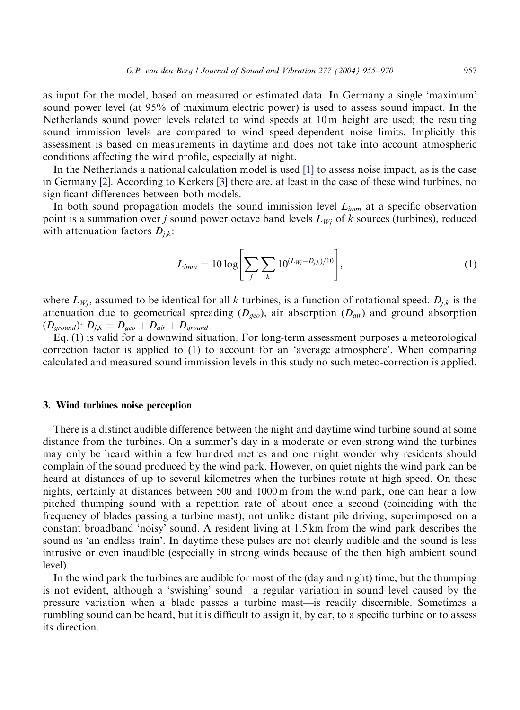as input for the model, based on measured or estimated data. In Germany a single 'maximum' sound power level (at 95% of maximum electric power) is used to assess sound impact. In the Netherlands sound power levels related to wind speeds [at](#page-14-0) 10 m height are used; the resulting sound immi[ssio](#page-14-0)n levels are compare[d t](#page-14-0)o wind speed-dependent noise limits. Implicitly this assessment is based on measurements in daytime and does not take into account atmospheric conditions affecting the wind profile, especially at night.

In the Netherlands a national calculation model is used [1] to assess noise impact, as is the case in Germany [2]. According to Kerkers [3] there are, at least in the case of these wind turbines, no significant differences between both models.

In both sound propagation models the sound immission level  $L_{imm}$  at a specific observation point is a summation over j sound power octave band levels  $L_{Wi}$  of k sources (turbines), reduced with attenuation factors  $D_{j,k}$ :

$$
L_{imm} = 10 \log \left[ \sum_{j} \sum_{k} 10^{(L_{Wj} - D_{j,k})/10} \right],
$$
 (1)

where  $L_{W_i}$ , assumed to be identical for all k turbines, is a function of rotational speed.  $D_{i,k}$  is the attenuation due to geometrical spreading  $(D_{geo})$ , air absorption  $(D_{air})$  and ground absorption  $(D_{ground})$ :  $D_{j,k} = D_{geo} + D_{air} + D_{ground}$ .

Eq. (1) is valid for a downwind situation. For long-term assessment purposes a meteorological correction factor is applied to (1) to account for an 'average atmosphere'. When comparing calculated and measured sound immission levels in this study no such meteo-correction is applied.

## 3. Wind turbines noise perception

There is a distinct audible difference between the night and daytime wind turbine sound at some distance from the turbines. On a summer's day in a moderate or even strongwind the turbines may only be heard within a few hundred metres and one might wonder why residents should complain of the sound produced by the wind park. However, on quiet nights the wind park can be heard at distances of up to several kilometres when the turbines rotate at high speed. On these nights, certainly at distances between 500 and 1000 m from the wind park, one can hear a low pitched thumping sound with a repetition rate of about once a second (coinciding with the frequency of blades passing a turbine mast), not unlike distant pile driving, superimposed on a constant broadband 'noisy' sound. A resident livingat 1.5 km from the wind park describes the sound as 'an endless train'. In daytime these pulses are not clearly audible and the sound is less intrusive or even inaudible (especially in strongwinds because of the then high ambient sound level).

In the wind park the turbines are audible for most of the (day and night) time, but the thumping is not evident, although a 'swishing' sound—a regular variation in sound level caused by the pressure variation when a blade passes a turbine mast—is readily discernible. Sometimes a rumbling sound can be heard, but it is difficult to assign it, by ear, to a specific turbine or to assess its direction.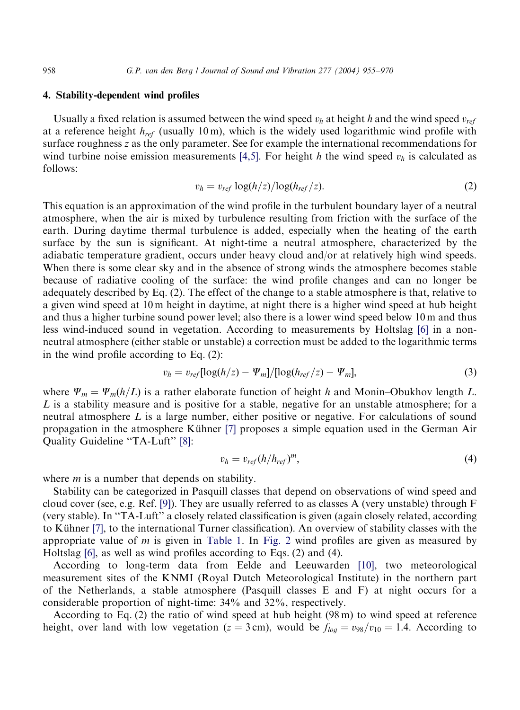## 4. Stability-dependent wind profiles

Usually a fixed relatio[n](#page-15-0) is assumed between [the](#page-15-0) wind speed  $v_h$  at height h and the wind speed  $v_{ref}$ at a reference height  $h_{ref}$  (usually 10 m), which is the widely used logarithmic wind profile with surface roughness z as the only parameter. See for example the international recommendations for wind turbine noise emission measurements [4,5]. For height h the wind speed  $v_h$  is calculated as follows:

$$
v_h = v_{ref} \log(h/z) / \log(h_{ref}/z). \tag{2}
$$

This equation is an approximation of the wind profile in the turbulent boundary layer of a neutral atmosphere, when the air is mixed by turbulence resulting from friction with the surface of the earth. During daytime thermal turbulence is added, especially when the heating of the earth surface by the sun is significant. At night-time a neutral atmosphere, characterized by the adiabatic temperature gradient, occurs under heavy cloud and/or at relatively high wind speeds. When there is some clear sky and in the absence of strong winds the atmosphere becomes stable because of radiative cooling of the surface: the wind profile changes and can [no](#page-15-0) longer be adequately described by Eq. (2). The effect of the change to a stable atmosphere is that, relative to a given wind speed at 10 m height in daytime, at night there is a higher wind speed at hub height and thus a higher turbine sound power level; also there is a lower wind speed below 10 m and thus less wind-induced sound in vegetation. According to measurements by Holtslag [6] in a nonneutral atmosphere (either stable or unstable) a correction must be added to the logarithmic terms in the wind profile according to Eq.  $(2)$ :

$$
v_h = v_{ref} [\log(h/z) - \Psi_m] / [\log(h_{ref}/z) - \Psi_m],
$$
\n(3)

w[her](#page-15-0)e  $\Psi_m = \Psi_m(h/L)$  is a rather elabor[ate](#page-15-0) function of height h and Monin–Obukhov length L. L is a stability measure and is positive for a stable, negative for an unstable atmosphere; for a neutral atmosphere  $L$  is a large number, either positive or negative. For calculations of sound propagation in the atmosphere Kühner [7] proposes a simple equation used in the German Air Quality Guideline ''TA-Luft'' [8]:

$$
v_h = v_{ref}(h/h_{ref})^m, \tag{4}
$$

where  $m$  is [a](#page-15-0) number that depends on stability.

Stability can be categorized in Pa[squill cla](#page-4-0)sses [that de](#page-4-0)pend on observations of wind speed and cloud co[ver](#page-15-0) (see, e.g. Ref. [9]). They are usually referred to as classes A (very unstable) through  $F$ (very stable). In ''TA-Luft'' a closely related classification is given (agai[n clo](#page-15-0)sely related, according to Kühner [7], to the international Turner classification). An overview of stability classes with the appropriate value of m is given in Table 1. In Fig. 2 wind profiles are given as measured by Holtslag  $[6]$ , as well as wind profiles according to Eqs.  $(2)$  and  $(4)$ .

According to long-term data from Eelde and Leeuwarden [10], two meteorological measurement sites of the KNMI (Royal Dutch Meteorological Institute) in the northern part of the Netherlands, a stable atmosphere (Pasquill classes E and F) at night occurs for a considerable proportion of night-time: 34% and 32%, respectively.

According to Eq. (2) the ratio of wind speed at hub height  $(98 \text{ m})$  to wind speed at reference height, over land with low vegetation ( $z = 3$  cm), would be  $f_{log} = v_{98}/v_{10} = 1.4$ . According to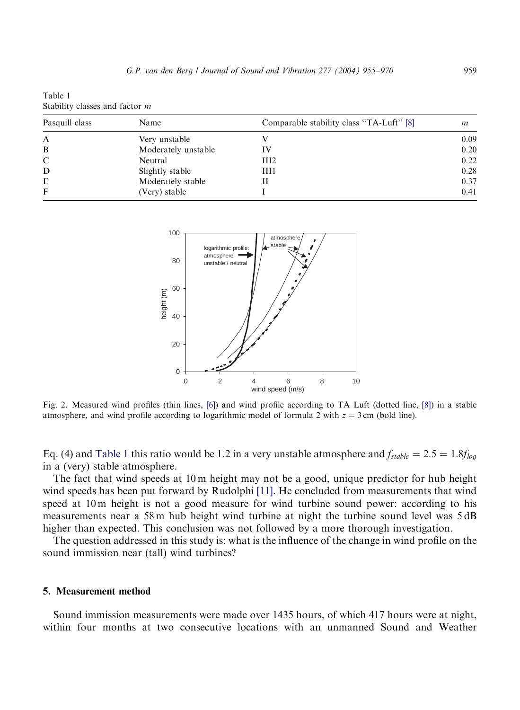<span id="page-4-0"></span>Table 1 Stability classes and factor m

| Pasquill class | Name                | Comparable stability class "TA-Luft" [8] | m    |
|----------------|---------------------|------------------------------------------|------|
| A              | Very unstable       |                                          | 0.09 |
| B              | Moderately unstable | IV                                       | 0.20 |
| C              | Neutral             | III2                                     | 0.22 |
| D              | Slightly stable     | III1                                     | 0.28 |
| E              | Moderately stable   |                                          | 0.37 |
| F              | (Very) stable       |                                          | 0.41 |



Fig. 2. Measured wind profiles (thin lines, [6]) and wind profile according to TA Luft (dotted line, [8]) in a stable atmosphere, and wind profile according to logarithmic model of formula 2 with  $z = 3$  cm (bold line).

Eq. (4) and Table 1 this ratio would be 1.2 in a [very](#page-15-0) unstable atmosphere and  $f_{stable} = 2.5 = 1.8f_{log}$ in a (very) stable atmosphere.

The fact that wind speeds at 10 m height may not be a good, unique predictor for hub height wind speeds has been put forward by Rudolphi [11]. He concluded from measurements that wind speed at 10 m height is not a good measure for wind turbine sound power: according to his measurements near a 58 m hub height wind turbine at night the turbine sound level was 5 dB higher than expected. This conclusion was not followed by a more thorough investigation.

The question addressed in this study is: what is the influence of the change in wind profile on the sound immission near (tall) wind turbines?

#### 5. Measurement method

Sound immission measurements were made over 1435 hours, of which 417 hours were at night, within four months at two consecutive locations with an unmanned Sound and Weather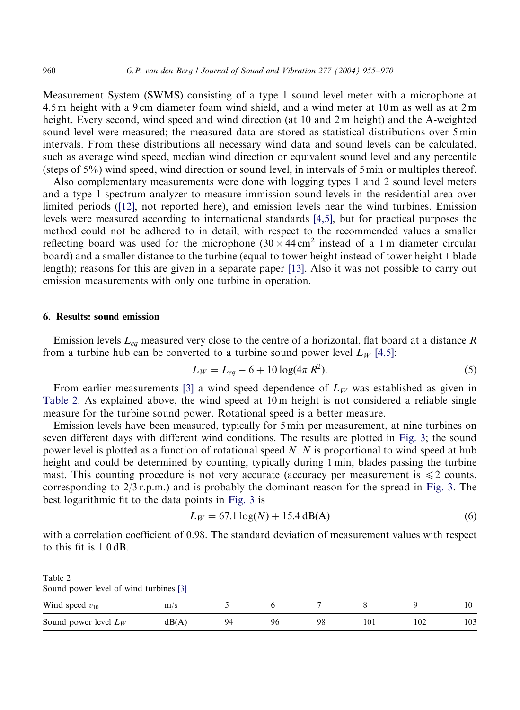#### 960 G.P. van den Berg / Journal of Sound and Vibration 277 (2004) 955–970

Measurement System (SWMS) consisting of a type 1 sound level meter with a microphone at 4.5 m height with a 9 cm diameter foam wind shield, and a wind meter at 10 m as well as at 2 m height. Every second, wind speed and wind direction (at 10 and 2 m height) and the A-weighted sound level were measured; the measured data are stored as statistical distributions over 5 min intervals. From these distributions all necessary wind data and sound levels can be calculated, such as average [wind](#page-15-0) speed, median wind direction or equivalent sound level and any percentile (steps of 5%) wind speed, wind direction or sound level, in i[nterva](#page-15-0)ls of 5 min or multiples thereof.

Also complementary measurements were done with logging types 1 and 2 sound level meters and a type 1 spectrum analyzer to measure immission sound levels in the residential area over limited periods ([12], not reported here), and emission levels near the wind turbines. Emission levels were measured according to international stan[dard](#page-15-0)s  $[4,5]$ , but for practical purposes the method could not be adhered to in detail; with respect to the recommended values a smaller reflecting board was used for the microphone (30  $\times$  44 cm<sup>2</sup> instead of a 1 m diameter circular board) and a smaller distance to the turbine (equal to tower height instead of tower height + blade length); reasons for this are given in a separate paper [13]. Also it was not possible to carry out emission measurements with only one turbine in operation.

## 6. Results: sound emission

Emission levels  $L_{eq}$  measure[d ve](#page-14-0)ry close to the centre of a horizontal, flat board at a distance R from a turbine hub can be converted to a turbine sound power level  $L_W$  [4,5]:

$$
L_W = L_{eq} - 6 + 10 \log(4\pi R^2). \tag{5}
$$

From earlier measurements [3] a wind speed dependence of  $L_W$  was estab[lished](#page-6-0) as given in Table 2. As explained above, the wind speed at 10 m height is not considered a reliable single measure for the turbine sound power. Rotational speed is a better measure.

Emission levels have been measured, typically for 5 min per measurement, at nine turbines on seven different days with different wind conditions. The results are plotted in Fig. 3[; the s](#page-6-0)ound power level is plotted as a function of rot[ational](#page-6-0) speed N. N is proportional to wind speed at hub height and could be determined by counting, typically during 1 min, blades passing the turbine mast. This counting procedure is not very accurate (accuracy per measurement is  $\leq 2$  counts, corresponding to  $2/3$  r.p.m.) and is probably the dominant reason for the spread in Fig. 3. The best logarithmic fit to the data points in Fig. 3 is

$$
L_W = 67.1 \log(N) + 15.4 \text{ dB(A)}
$$
 (6)

with a correlation coefficient [of 0](#page-14-0).98. The standard deviation of measurement values with respect to this fit is 1.0 dB.

Table 2 Sound power level of wind turbines [3] Wind speed  $v_{10}$  m/s 5 6 7 8 9 10 Sound power level  $L_W$  dB(A) 94 96 98 101 102 103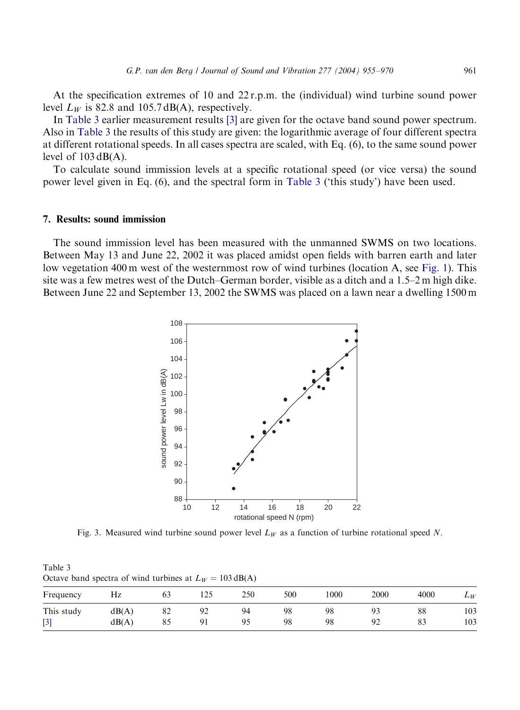<span id="page-6-0"></span>At the specification extremes of 10 and 22 r.p.m. the (individual) wind turbine sound power level  $L_W$  is 82.8 and 105.7 dB(A), respectively.

In Table 3 earlier measurement results [3] are given for the octave band sound power spectrum. Also in Table 3 the results of this study are given: the logarithmic average of four different spectra at different rotational speeds. In all cases spectra are scaled, with Eq. (6), to the same sound power level of  $103 \, dB(A)$ .

To calculate sound immission levels at a specific rotational speed (or vice versa) the sound power level given in Eq. (6), and the spectral form in Table 3 ('this study') have been used.

## 7. Results: sound immission

The sound immission level has been measured with the unmanned SWMS on two locations. Between May 13 and June 22, 2002 it was placed amidst open fields with barren earth and later low vegetation 400 m west of the westernmost row of wind turbines (location A, see Fig. 1). This site was a few metres west of the Dutch–German border, visible as a ditch and a 1.5–2 m high dike. Between June 22 and September 13, 2002 the SWMS was placed on a lawn near a dwelling 1500 m



Fig. 3. Measured wind turbine sound power level  $L_W$  as a function of turbine rotational speed N.

Table 3 [Oc](#page-14-0)tave band spectra of wind turbines at  $L_W = 103 \text{ dB(A)}$ 

| Frequency           | HZ             | 03       | 12J                   | 250 | 500      | 1000     | 2000       | 4000     | $L_W$      |
|---------------------|----------------|----------|-----------------------|-----|----------|----------|------------|----------|------------|
| This study<br>$[3]$ | dB(A)<br>dB(A) | 82<br>85 | 92<br>╯<br>$\Omega^*$ | 94  | 98<br>98 | 98<br>98 | $Q^{\sim}$ | 88<br>83 | 103<br>103 |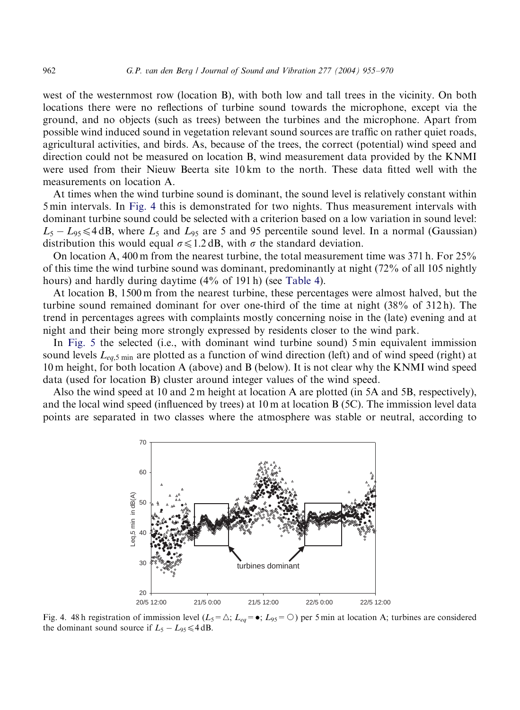west of the westernmost row (location B), with both low and tall trees in the vicinity. On both locations there were no reflections of turbine sound towards the microphone, except via the ground, and no objects (such as trees) between the turbines and the microphone. Apart from possible wind induced sound in vegetation relevant sound sources are traffic on rather quiet roads, agricultural activities, and birds. As, because of the trees, the correct (potential) wind speed and direction could not be measured on location B, wind measurement data provided by the KNMI were used from their Nieuw Beerta site 10 km to the north. These data fitted well with the measurements on location A.

At times when the wind turbine sound is dominant, the sound level is relatively constant within 5 min intervals. In Fig. 4 this is demonstrated for two nights. Thus measurement intervals with dominant turbine sound could be selected with a criterion based on a low variation in sound level:  $L_5 - L_{95} \leq 4$  dB, where  $L_5$  and  $L_{95}$  are 5 and 95 perc[entile so](#page-8-0)und level. In a normal (Gaussian) distribution this would equal  $\sigma \leq 1.2$  dB, with  $\sigma$  the standard deviation.

On location A, 400 m from the nearest turbine, the total measurement time was  $371$  h. For  $25\%$ of this time the wind turbine sound was dominant, predominantly at night (72% of all 105 nightly hours) and hardly during daytime (4% of 191 h) (see Table 4).

At [locatio](#page-8-0)n B, 1500 m from the nearest turbine, these percentages were almost halved, but the turbine sound remained dominant for over one-third of the time at night (38% of 312 h). The trend in percentages agrees with complaints mostly concerning noise in the (late) evening and at night and their being more strongly expressed by residents closer to the wind park.

In Fig. 5 the selected (i.e., with dominant wind turbine sound) 5 min equivalent immission sound levels  $L_{eq,5 \text{ min}}$  are plotted as a function of wind direction (left) and of wind speed (right) at 10 m height, for both location A (above) and B (below). It is not clear why the KNMI wind speed data (used for location B) cluster around integer values of the wind speed.

Also the wind speed at 10 and 2 m height at location A are plotted (in 5A and 5B, respectively), and the local wind speed (influenced by trees) at 10 m at location B (5C). The immission level data points are separated in two classes where the atmosphere was stable or neutral, according to



Fig. 4. 48 h registration of immission level ( $L_5 = \triangle$ ;  $L_{eq} = \bullet$ ;  $L_{95} = \bigcirc$ ) per 5 min at location A; turbines are considered the dominant sound source if  $L_5 - L_{95} \leq 4$  dB.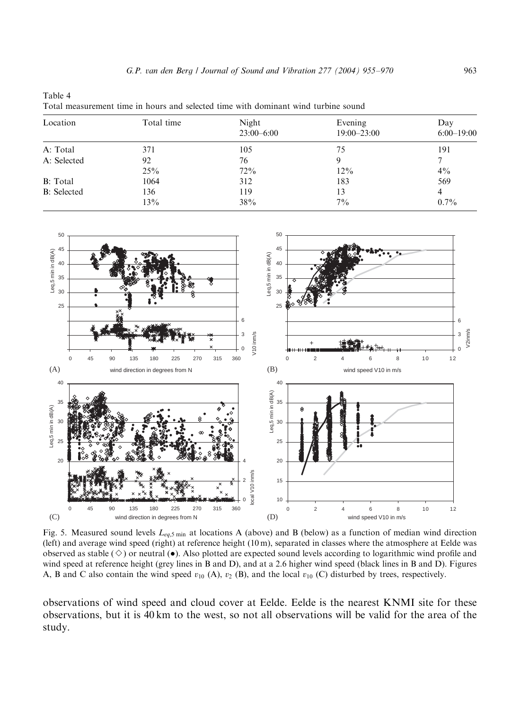| Total measurement time in hours and selected time with dominant wind turbine sound |            |                       |                            |                     |  |  |  |
|------------------------------------------------------------------------------------|------------|-----------------------|----------------------------|---------------------|--|--|--|
| Location                                                                           | Total time | Night<br>$23:00-6:00$ | Evening<br>$19:00 - 23:00$ | Day<br>$6:00-19:00$ |  |  |  |
| A: Total                                                                           | 371        | 105                   | 75                         | 191                 |  |  |  |
| A: Selected                                                                        | 92         | 76                    |                            |                     |  |  |  |
|                                                                                    | 25%        | 72%                   | $12\%$                     | $4\%$               |  |  |  |

B: Total 1064 312 183 569 B: Selected 136 119 13 4

 $13\%$   $38\%$   $7\%$   $7\%$   $0.7\%$ 

<span id="page-8-0"></span>Table 4

50 50 45 45 Leq,5 min in dB(A) Leq,5 min in dB(A) Leq,5 min in dB(A) Leq,5 min in dB(A) 40 40 35 35 30 30 25 25 6 6 V2inm/s 3 3 V10 inm/s V10 inm/s  $\overline{0}$  $\Omega$ 0 45 90 135 180 225 270 315 360 0 2 4 6 8 10 12 wind direction in degrees from N (A) (B) wind speed V10 in m/s 40 40 Lea.5 min in dB(A) Leq,5 min in dB(A) 35 35 Leq,5 min in dB(A) Leq,5 min in dB(A) 30 30 25 25 20 20 4 ocal V10 inm/s local V10 inm/s 15 2 10 0 0 45 90 135 180 225 270 315 360 0 2 4 6 8 10 12 (C) wind direction in degrees from N (D) wind speed V10 in m/s

Fig. 5. Measured sound levels  $L_{eq,5 \text{ min}}$  at locations A (above) and B (below) as a function of median wind direction (left) and average wind speed (right) at reference height (10 m), separated in classes where the atmosphere at Eelde was observed as stable ( $\Diamond$ ) or neutral ( $\bullet$ ). Also plotted are expected sound levels according to logarithmic wind profile and wind speed at reference height (grey lines in B and D), and at a 2.6 higher wind speed (black lines in B and D). Figures A, B and C also contain the wind speed  $v_{10}$  (A),  $v_2$  (B), and the local  $v_{10}$  (C) disturbed by trees, respectively.

observations of wind speed and cloud cover at Eelde. Eelde is the nearest KNMI site for these observations, but it is 40 km to the west, so not all observations will be valid for the area of the study.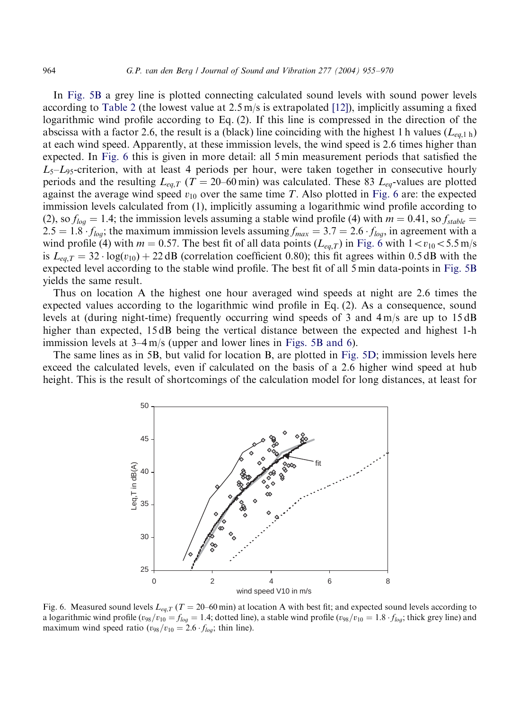In Fig. 5B a grey line is plotted connecting calculated sound levels with sound power levels according to Table 2 (the lowest value at  $2.5 \text{ m/s}$  is extrapolated [12]), implicitly assuming a fixed logarithmic wind profile according to Eq. (2). If this line is compressed in the direction of the abscissa with a factor 2.6, the result is a (black) line coinciding with the highest 1 h values  $(L_{ea,1 h})$ at each wind speed. Apparently, at these immission levels, the wind speed is 2.6 times higher than expected. In Fig. 6 this is given in more detail: all 5 min measurement periods that satisfied the  $L_5$ – $L_9$ -criterion, with at least 4 periods per hour, were taken together in consecutive hourly periods and the resulting  $L_{eq,T}$  (T = 20–60 min) was calculated. These 83  $L_{eq}$ -values are plotted against the average wind speed  $v_{10}$  over the same time T. Also plotted in Fig. 6 are: the expected immission levels calculated from (1), implicitly assuming a logarithmic wind profile according to (2), so  $f_{log} = 1.4$ ; the immission levels assuming a stable wind profile (4) with  $m = 0.41$ , so  $f_{stable} =$ 2.5 = 1.8  $f_{log}$ ; the maximum immission levels assuming  $f_{max} = 3.7 = 2.6 \cdot f_{log}$ , in agreement with a wind profile (4) with  $m = 0.57$ . The best fit of all data points ( $L_{eq,T}$ ) in Fig. 6 with  $1 < v_{10} < 5.5$  m/s is  $L_{eq,T} = 32 \cdot \log(v_{10}) + 22 \text{ dB}$  (correlation coefficient 0.80); this fit agrees within 0.5 dB with the expected level according to the stable wind profile. The best fit of all 5 min data-points in Fig. 5B yields the same result.

Thus on location A the highest one hour averag[ed wind speeds](#page-8-0) at night are 2.6 times the expected values according to the logarithmic wind profile in Eq.  $(2)$ . As a consequence, sound levels at (during night-time) frequently occurring wind speeds of 3 and  $4 \text{ m/s}$  are up to 15 dB higher than expected, 15 dB being the vertical distance between the expected and highest 1-h immission levels at 3–4 m/s (upper and lower lines in Figs. 5B and 6).

The same lines as in 5B, but valid for location B, are plotted in Fig. 5D; immission levels here exceed the calculated levels, even if calculated on the basis of a 2.6 higher wind speed at hub height. This is the result of shortcomings of the calculation model for long distances, at least for



Fig. 6. Measured sound levels  $L_{eq,T}$  (T = 20–60 min) at location A with best fit; and expected sound levels according to a logarithmic wind profile  $(v_{98}/v_{10} = f_{log} = 1.4$ ; dotted line), a stable wind profile  $(v_{98}/v_{10} = 1.8 \cdot f_{log}$ ; thick grey line) and maximum wind speed ratio ( $v_{98}/v_{10} = 2.6 \cdot f_{log}$ ; thin line).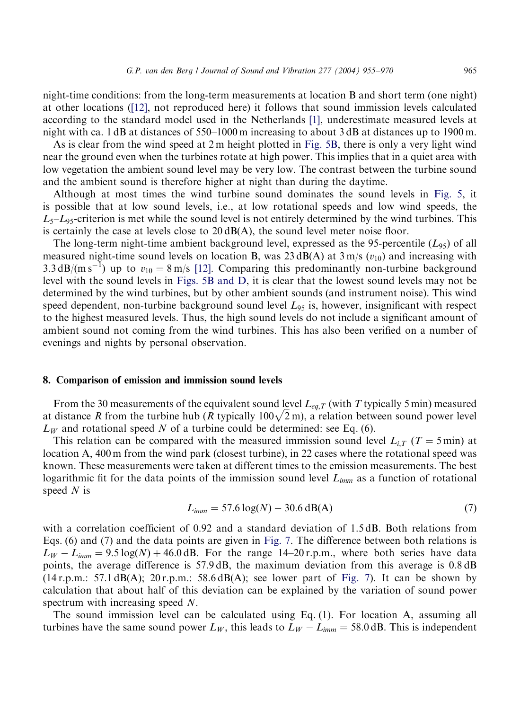night-time conditions: from the long-term measurements a[t locatio](#page-8-0)n B and short term (one night) at other locations ([12], not reproduced here) it follows that sound immission levels calculated according to the standard model used in the Netherlands [1], underestimate measured levels at night with ca. 1 dB at distances of 550–1000 m increasing to about 3 dB at distances up to 1900 m.

As is clear from the wind speed at 2 m height plotted in Fig. 5B, there is only a very [light w](#page-8-0)ind near the ground even when the turbines rotate at high power. This implies that in a quiet area with low vegetation the ambient sound level may be very low. The contrast between the turbine sound and the ambient sound is therefore higher at night than during the daytime.

Although at most times the wind turbine sound dominates the sound levels in Fig. 5, it is possible that at low sound levels, i.e., at low rotational speeds and low wind speeds, the  $L_5$ – $L_{95}$ -criterion is met while the s[oun](#page-15-0)d level is not entirely determined by the wind turbines. This is certainly the case at levels close to  $20 \text{ dB}(A)$ , the sound level meter noise floor.

The long-term night-time ambient background level, expressed as the 95-percentile  $(L_{95})$  of all measured night-time sound levels on location B, was  $23 \text{ dB}(A)$  at  $3 \text{ m/s}$  ( $v_{10}$ ) and increasing with 3.3 dB/(m s<sup>-1</sup>) up to  $v_{10} = 8$  m/s [12]. Comparing this predominantly non-turbine background level with the sound levels in Figs. 5B and D, it is clear that the lowest sound levels may not be determined by the wind turbines, but by other ambient sounds (and instrument noise). This wind speed dependent, non-turbine background sound level  $L_{95}$  is, however, insignificant with respect to the highest measured levels. Thus, the high sound levels do not include a significant amount of ambient sound not coming from the wind turbines. This has also been verified on a number of evenings and nights by personal observation.

#### 8. Comparison of emission and immission sound levels

From the 30 measurements of the equivalent sound level  $L_{eq,T}$  (with T typically 5 min) measured From the so measurements of the equivalent sound level  $L_{eq,T}$  (with T typically 3 mm) measured at distance R from the turbine hub (R typically 100 $\sqrt{2}$  m), a relation between sound power level  $L_W$  and rotational speed N of a turbine could be determined: see Eq. (6).

This relation can be compared with the measured immission sound level  $L_{i,T}$  (T = 5 min) at location A, 400 m from the wind park (closest turbine), in 22 cases where the rotational speed was known. These measurements were taken at different times to the emission measurements. The best logarithmic fit for the data points of the immission sound level  $L_{imm}$  as a function of rotational speed  $N$  is

$$
L_{imm} = 57.6 \log(N) - 30.6 \text{ dB(A)}
$$
 (7)

with a correlation coefficient of 0.92 and a standard deviation [of 1.5 d](#page-11-0)B. Both relations from Eqs. (6) and (7) and the data points are given in Fig. 7. The difference between both relations is  $L_W - L_{imm} = 9.5 \log(N) + 46.0 \text{ dB}$ . For the range 14–20 r.p.m., where both series have data points, the average difference is 57.9 dB, the maximum deviation from this average is 0.8 dB  $(14 \text{ r.p.m.}: 57.1 \text{ dB}(A); 20 \text{ r.p.m.}: 58.6 \text{ dB}(A);$  see lower part of Fig. 7). It can be shown by calculation that about half of this deviation can be explained by the variation of sound power spectrum with increasing speed  $N$ .

The sound immission level can be calculated using Eq.  $(1)$ . For location A, assuming all turbines have the same sound power  $L_W$ , this leads to  $L_W - L_{imm} = 58.0 \text{ dB}$ . This is independent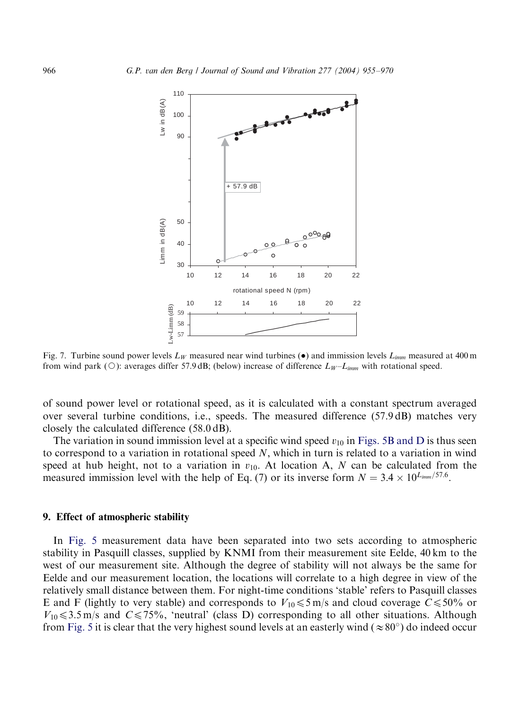

Fig. 7. Turbine sound power levels  $L_W$  measured near wind turbines ( $\bullet$ ) and immission levels  $L_{imm}$  measured at 400 m from wind park ( $\circ$ ): averages differ 57.9 dB; (below) increase of difference  $L_W - L_{imm}$  with rotational speed.

of sound power level or rotational speed, as it is calculated with a c[onstant](#page-8-0) [spectru](#page-8-0)m averaged over several turbine conditions, i.e., speeds. The measured difference (57.9 dB) matches very closely the calculated difference (58.0 dB).

The variation in sound immission level at a specific wind speed  $v_{10}$  in Figs. 5B and D is thus seen to correspond to a variation in rotational speed  $N$ , which in turn is related to a variation in wind speed at hub height, not to a variation in  $v_{10}$ . At location A, N can be calculated from the measured immission level with the help of Eq. (7) or its inverse form  $N = 3.4 \times 10^{L_{imm}/57.6}$ .

## 9. Effect of atmospheric stability

In Fig. 5 measurement data have been separated into two sets according to atmospheric stability in Pasquill classes, supplied by KNMI from their measurement site Eelde, 40 km to the west of our measurement site. Although the degree of stability will not always be the same for Eeld[e and o](#page-8-0)ur measurement location, the locations will correlate to a high degree in view of the relatively small distance between them. For night-time conditions 'stable' refers to Pasquill classes E and F (lightly to very stable) and corresponds to  $V_{10} \leq 5 \text{ m/s}$  and cloud coverage  $C \leq 50\%$  or  $V_{10}$   $\leq$  3.5 m/s and C  $\leq$  75%, 'neutral' (class D) corresponding to all other situations. Although from Fig. 5 it is clear that the very highest sound levels at an easterly wind ( $\approx 80^{\circ}$ ) do indeed occur

<span id="page-11-0"></span>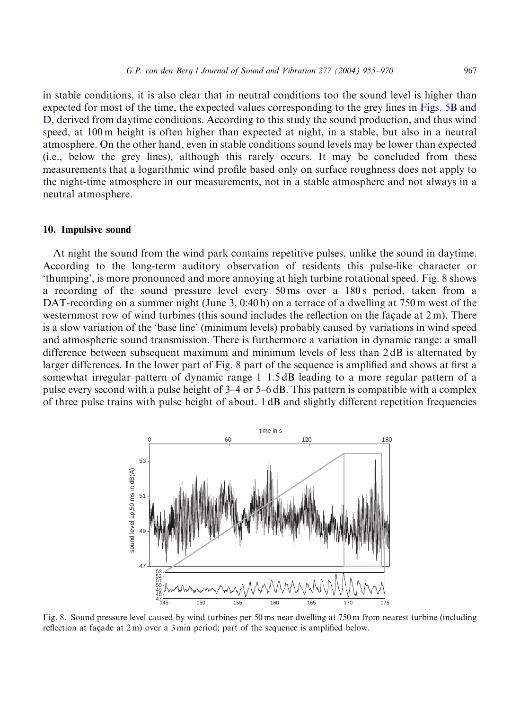in stable conditions, it is also clear that in neutral conditions too the sound level is higher than expected for most of the time, the expected values corresponding to the grey lines in Figs. 5B and D, derived from daytime conditions. According to this study the sound production, and thus wind speed, at 100 m height is often higher than expected at night, in a stable, but also in a neutral atmosphere. On the other hand, even in stable conditions sound levels may be lower than expected (i.e., below the grey lines), although this rarely occurs. It may be concluded from these measurements that a logarithmic wind profile based only on surface roughness does not apply to the night-time atmosphere in our measurements, not in a stable atmosphere and not always in a neutral atmosphere.

#### 10. Impulsive sound

At night the sound from the wind park contains repetitive pulses, unlike the sound in daytime. According to the long-term auditory observation of residents this pulse-like character or 'thumping', is more pronounced and more annoying at high turbine rotational speed. Fig. 8 shows a recording of the sound pressure level every 50 ms over a 180 s period, taken from a DAT-recording on a summer night (June 3,  $0:40 \text{ h}$ ) on a terrace of a dwelling at 750 m west of the westernmost row of wind turbines (this sound includes the reflection on the façade at  $2 \text{ m}$ ). There is a slow variation of the 'base line' (minimum levels) probably caused by variations in wind speed and atmospheric sound transmission. There is furthermore a variation in dynamic range: a small difference between subsequent maximum and minimum levels of less than 2 dB is alternated by larger differences. In the lower part of Fig. 8 part of the sequence is amplified and shows at first a somewhat irregular pattern of dynamic range  $1-1.5$  dB leading to a more regular pattern of a pulse every second with a pulse height of 3–4 or 5–6 dB. This pattern is compatible with a complex of three pulse trains with pulse height of about. 1 dB and slightly different repetition frequencies



Fig. 8. Sound pressure level caused by wind turbines per 50 ms near dwelling at 750 m from nearest turbine (including reflection at façade at  $2 \text{ m}$ ) over a  $3 \text{ min}$  period; part of the sequence is amplified below.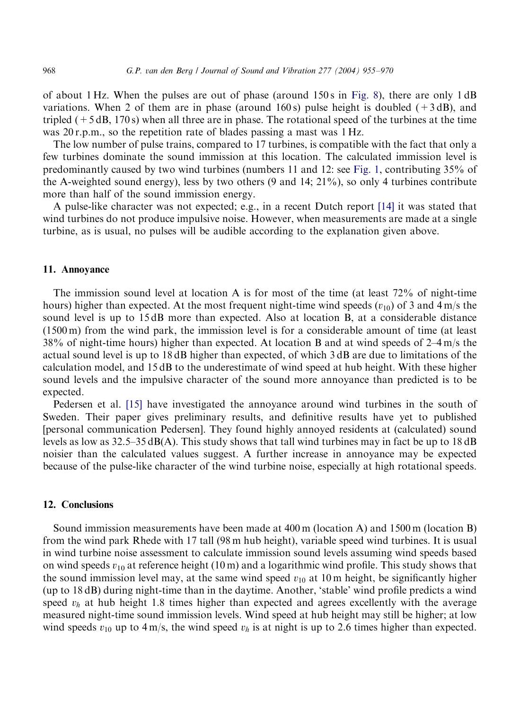of about 1 Hz. When the pulses are out of phase (around 150 s in Fig. 8), there are only 1 dB variations. When 2 of them are in phase (around 160 s) pulse height is doubled  $(+3 \text{ dB})$ , and tripled  $(+5 dB, 170 s)$  when all three are in phase. The rotational spee[d of th](#page-1-0)e turbines at the time was 20 r.p.m., so the repetition rate of blades passing a mast was 1 Hz.

The low number of pulse trains, compared to 17 turbines, is compatible with the fact that only a few turbines dominate the sound immission at this location. The calcula[ted](#page-15-0) immission level is predominantly caused by two wind turbines (numbers 11 and 12: see Fig. 1, contributing35% of the A-weighted sound energy), less by two others (9 and 14; 21%), so only 4 turbines contribute more than half of the sound immission energy.

A pulse-like character was not expected; e.g., in a recent Dutch report [14] it was stated that wind turbines do not produce impulsive noise. However, when measurements are made at a single turbine, as is usual, no pulses will be audible according to the explanation given above.

### 11. Annoyance

The immission sound level at location A is for most of the time (at least 72% of night-time hours) higher than expected. At the most frequent night-time wind speeds  $(v_{10})$  of 3 and 4 m/s the sound level is up to 15 dB more than expected. Also at location B, at a considerable distance (1500 m) from the wind park, the immission level is for a considerable amount of time (at least 38% of night-time hours) higher than expected. At location B and at wind speeds of 2–4 m/s the actual sound level [is up](#page-15-0) to 18 dB higher than expected, of which 3 dB are due to limitations of the calculation model, and 15 dB to the underestimate of wind speed at hub height. With these higher sound levels and the impulsive character of the sound more annoyance than predicted is to be expected.

Pedersen et al. [15] have investigated the annoyance around wind turbines in the south of Sweden. Their paper gives preliminary results, and definitive results have yet to published [personal communication Pedersen]. They found highly annoyed residents at (calculated) sound levels as low as  $32.5-35$  dB(A). This study shows that tall wind turbines may in fact be up to 18 dB noisier than the calculated values suggest. A further increase in annoyance may be expected because of the pulse-like character of the wind turbine noise, especially at high rotational speeds.

# 12. Conclusions

Sound immission measurements have been made at 400 m (location A) and 1500 m (location B) from the wind park Rhede with 17 tall (98 m hub height), variable speed wind turbines. It is usual in wind turbine noise assessment to calculate immission sound levels assumingwind speeds based on wind speeds  $v_{10}$  at reference height (10 m) and a logarithmic wind profile. This study shows that the sound immission level may, at the same wind speed  $v_{10}$  at 10 m height, be significantly higher (up to 18 dB) during night-time than in the daytime. Another, 'stable' wind profile predicts a wind speed  $v_h$  at hub height 1.8 times higher than expected and agrees excellently with the average measured night-time sound immission levels. Wind speed at hub height may still be higher; at low wind speeds  $v_{10}$  up to 4 m/s, the wind speed  $v_h$  is at night is up to 2.6 times higher than expected.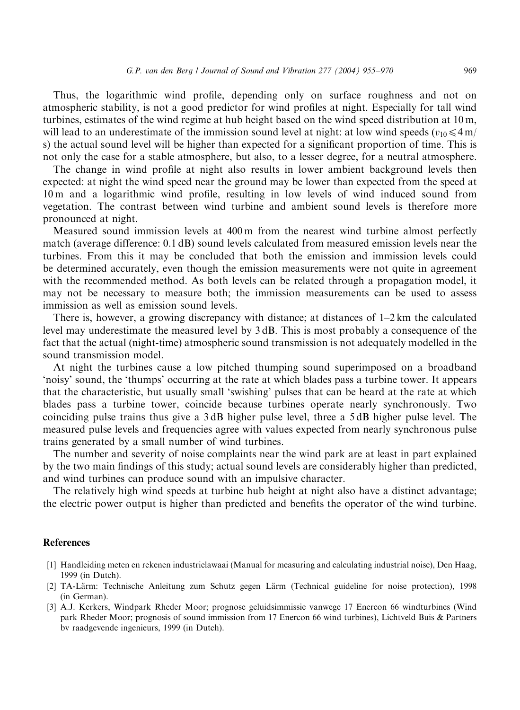<span id="page-14-0"></span>Thus, the logarithmic wind profile, depending only on surface roughness and not on atmospheric stability, is not a good predictor for wind profiles at night. Especially for tall wind turbines, estimates of the wind regime at hub height based on the wind speed distribution at 10 m, will lead to an underestimate of the immission sound level at night: at low wind speeds  $(v_{10} \leq 4 \text{ m/s})$ s) the actual sound level will be higher than expected for a significant proportion of time. This is not only the case for a stable atmosphere, but also, to a lesser degree, for a neutral atmosphere.

The change in wind profile at night also results in lower ambient background levels then expected: at night the wind speed near the ground may be lower than expected from the speed at 10 m and a logarithmic wind profile, resulting in low levels of wind induced sound from vegetation. The contrast between wind turbine and ambient sound levels is therefore more pronounced at night.

Measured sound immission levels at 400 m from the nearest wind turbine almost perfectly match (average difference: 0.1 dB) sound levels calculated from measured emission levels near the turbines. From this it may be concluded that both the emission and immission levels could be determined accurately, even though the emission measurements were not quite in agreement with the recommended method. As both levels can be related through a propagation model, it may not be necessary to measure both; the immission measurements can be used to assess immission as well as emission sound levels.

There is, however, a growing discrepancy with distance; at distances of  $1-2$  km the calculated level may underestimate the measured level by 3 dB. This is most probably a consequence of the fact that the actual (night-time) atmospheric sound transmission is not adequately modelled in the sound transmission model.

At night the turbines cause a low pitched thumping sound superimposed on a broadband 'noisy' sound, the 'thumps' occurringat the rate at which blades pass a turbine tower. It appears that the characteristic, but usually small 'swishing' pulses that can be heard at the rate at which blades pass a turbine tower, coincide because turbines operate nearly synchronously. Two coinciding pulse trains thus give a 3 dB higher pulse level, three a 5 dB higher pulse level. The measured pulse levels and frequencies agree with values expected from nearly synchronous pulse trains generated by a small number of wind turbines.

The number and severity of noise complaints near the wind park are at least in part explained by the two main findings of this study; actual sound levels are considerably higher than predicted, and wind turbines can produce sound with an impulsive character.

The relatively high wind speeds at turbine hub height at night also have a distinct advantage; the electric power output is higher than predicted and benefits the operator of the wind turbine.

# **References**

- [1] Handleidingmeten en rekenen industrielawaai (Manual for measuringand calculatingindustrial noise), Den Haag, 1999 (in Dutch).
- [2] TA-Lärm: Technische Anleitung zum Schutz gegen Lärm (Technical guideline for noise protection), 1998 (in German).
- [3] A.J. Kerkers, Windpark Rheder Moor; prognose geluidsimmissie vanwege 17 Enercon 66 windturbines (Wind park Rheder Moor; prognosis of sound immission from 17 Enercon 66 wind turbines), Lichtveld Buis & Partners bv raadgevende ingenieurs, 1999 (in Dutch).